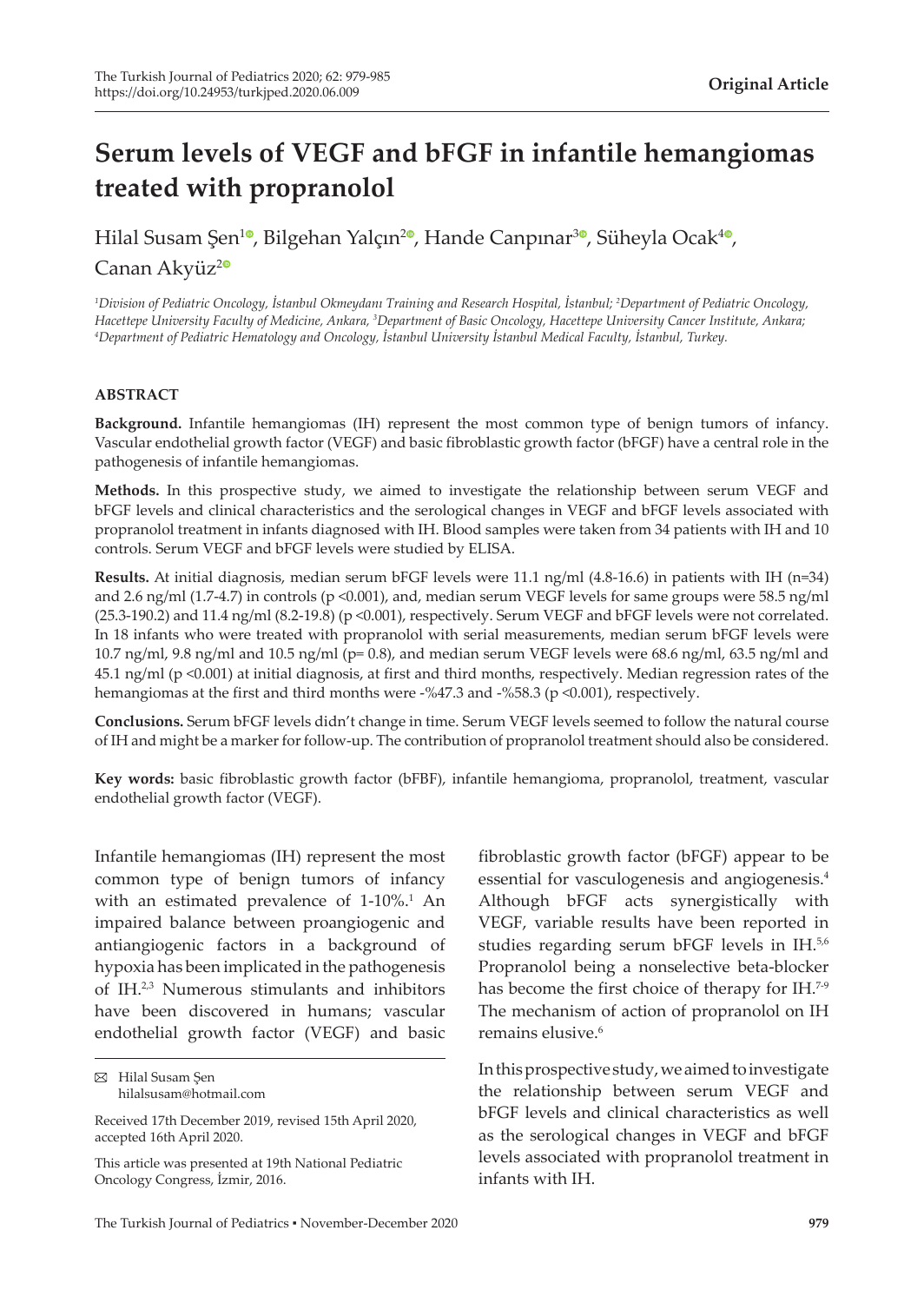# **Serum levels of VEGF and bFGF in infantile hemangiomas treated with propranolol**

Hilal Susam Şen<sup>10</sup>[,](https://orcid.org/0000-0003-2840-0308) Bilgehan Yalçın<sup>20</sup>, Hande Canpınar<sup>[3](https://orcid.org/0000-0002-8973-6289)0</sup>, Süheyla Ocak<sup>[4](https://orcid.org/0000-0001-7479-7444)0</sup>, Canan Akyüz<sup>[2](https://orcid.org/0000-0001-8142-8524)0</sup>

*1 Division of Pediatric Oncology, İstanbul Okmeydanı Training and Research Hospital, İstanbul; <sup>2</sup> Department of Pediatric Oncology, Hacettepe University Faculty of Medicine, Ankara, <sup>3</sup> Department of Basic Oncology, Hacettepe University Cancer Institute, Ankara; 4 Department of Pediatric Hematology and Oncology, İstanbul University İstanbul Medical Faculty, İstanbul, Turkey.*

#### **ABSTRACT**

**Background.** Infantile hemangiomas (IH) represent the most common type of benign tumors of infancy. Vascular endothelial growth factor (VEGF) and basic fibroblastic growth factor (bFGF) have a central role in the pathogenesis of infantile hemangiomas.

**Methods.** In this prospective study, we aimed to investigate the relationship between serum VEGF and bFGF levels and clinical characteristics and the serological changes in VEGF and bFGF levels associated with propranolol treatment in infants diagnosed with IH. Blood samples were taken from 34 patients with IH and 10 controls. Serum VEGF and bFGF levels were studied by ELISA.

**Results.** At initial diagnosis, median serum bFGF levels were 11.1 ng/ml (4.8-16.6) in patients with IH (n=34) and 2.6 ng/ml (1.7-4.7) in controls (p <0.001), and, median serum VEGF levels for same groups were 58.5 ng/ml (25.3-190.2) and 11.4 ng/ml (8.2-19.8) (p <0.001), respectively. Serum VEGF and bFGF levels were not correlated. In 18 infants who were treated with propranolol with serial measurements, median serum bFGF levels were 10.7 ng/ml, 9.8 ng/ml and 10.5 ng/ml (p= 0.8), and median serum VEGF levels were 68.6 ng/ml, 63.5 ng/ml and 45.1 ng/ml (p <0.001) at initial diagnosis, at first and third months, respectively. Median regression rates of the hemangiomas at the first and third months were -%47.3 and -%58.3 (p <0.001), respectively.

**Conclusions.** Serum bFGF levels didn't change in time. Serum VEGF levels seemed to follow the natural course of IH and might be a marker for follow-up. The contribution of propranolol treatment should also be considered.

**Key words:** basic fibroblastic growth factor (bFBF), infantile hemangioma, propranolol, treatment, vascular endothelial growth factor (VEGF).

Infantile hemangiomas (IH) represent the most common type of benign tumors of infancy with an estimated prevalence of 1-10%.<sup>1</sup> An impaired balance between proangiogenic and antiangiogenic factors in a background of hypoxia has been implicated in the pathogenesis of IH.2,3 Numerous stimulants and inhibitors have been discovered in humans; vascular endothelial growth factor (VEGF) and basic

fibroblastic growth factor (bFGF) appear to be essential for vasculogenesis and angiogenesis.<sup>4</sup> Although bFGF acts synergistically with VEGF, variable results have been reported in studies regarding serum bFGF levels in IH.5,6 Propranolol being a nonselective beta-blocker has become the first choice of therapy for IH.<sup>7-9</sup> The mechanism of action of propranolol on IH remains elusive.<sup>6</sup>

In this prospective study, we aimed to investigate the relationship between serum VEGF and bFGF levels and clinical characteristics as well as the serological changes in VEGF and bFGF levels associated with propranolol treatment in infants with IH.

Hilal Susam Şen hilalsusam@hotmail.com

Received 17th December 2019, revised 15th April 2020, accepted 16th April 2020.

This article was presented at 19th National Pediatric Oncology Congress, İzmir, 2016.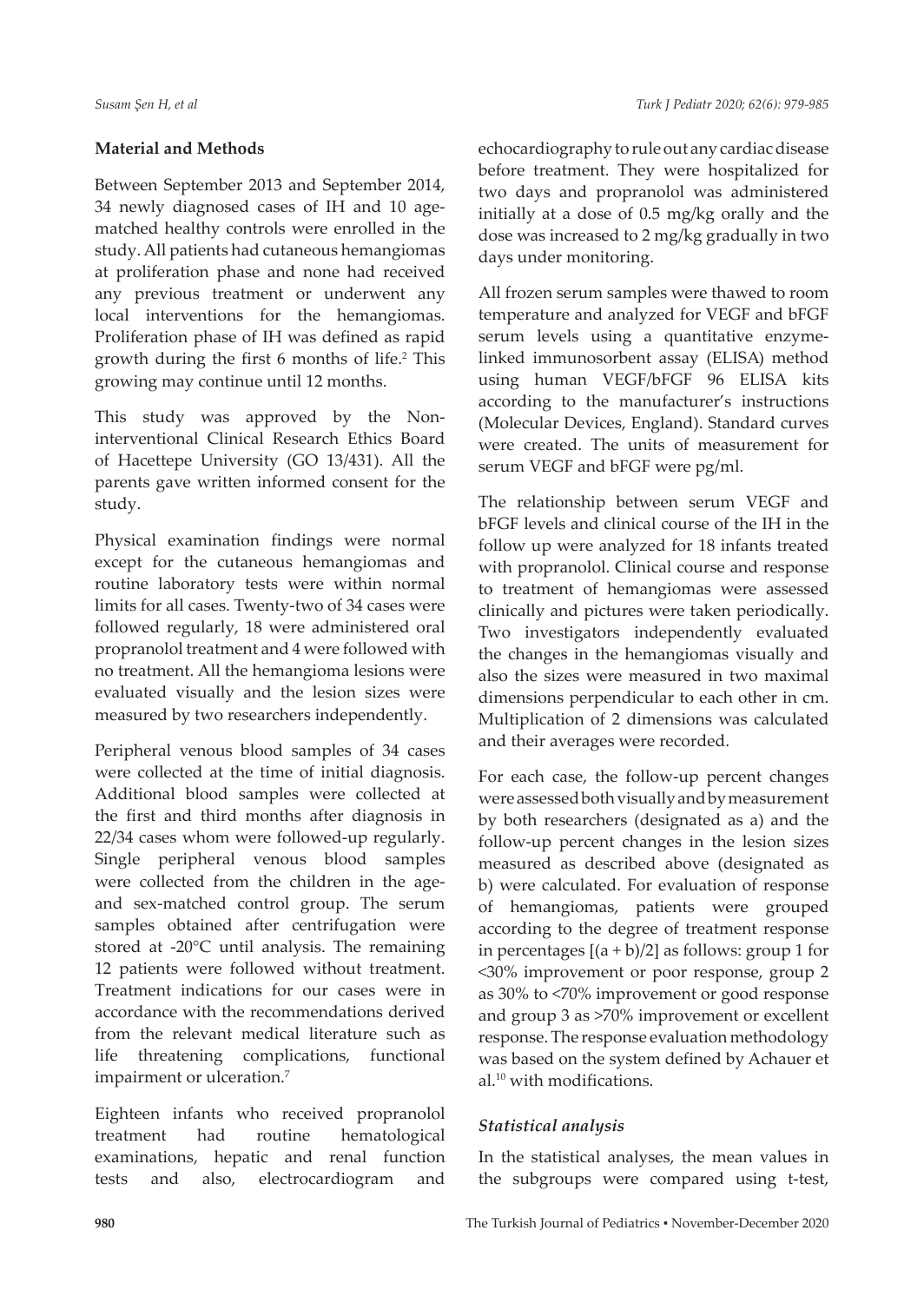# **Material and Methods**

Between September 2013 and September 2014, 34 newly diagnosed cases of IH and 10 agematched healthy controls were enrolled in the study. All patients had cutaneous hemangiomas at proliferation phase and none had received any previous treatment or underwent any local interventions for the hemangiomas. Proliferation phase of IH was defined as rapid growth during the first 6 months of life.<sup>2</sup> This growing may continue until 12 months.

This study was approved by the Noninterventional Clinical Research Ethics Board of Hacettepe University (GO 13/431). All the parents gave written informed consent for the study.

Physical examination findings were normal except for the cutaneous hemangiomas and routine laboratory tests were within normal limits for all cases. Twenty-two of 34 cases were followed regularly, 18 were administered oral propranolol treatment and 4 were followed with no treatment. All the hemangioma lesions were evaluated visually and the lesion sizes were measured by two researchers independently.

Peripheral venous blood samples of 34 cases were collected at the time of initial diagnosis. Additional blood samples were collected at the first and third months after diagnosis in 22/34 cases whom were followed-up regularly. Single peripheral venous blood samples were collected from the children in the ageand sex-matched control group. The serum samples obtained after centrifugation were stored at -20°C until analysis. The remaining 12 patients were followed without treatment. Treatment indications for our cases were in accordance with the recommendations derived from the relevant medical literature such as life threatening complications, functional impairment or ulceration.<sup>7</sup>

Eighteen infants who received propranolol treatment had routine hematological examinations, hepatic and renal function tests and also, electrocardiogram and echocardiography to rule out any cardiac disease before treatment. They were hospitalized for two days and propranolol was administered initially at a dose of 0.5 mg/kg orally and the dose was increased to 2 mg/kg gradually in two days under monitoring.

All frozen serum samples were thawed to room temperature and analyzed for VEGF and bFGF serum levels using a quantitative enzymelinked immunosorbent assay (ELISA) method using human VEGF/bFGF 96 ELISA kits according to the manufacturer's instructions (Molecular Devices, England). Standard curves were created. The units of measurement for serum VEGF and bFGF were pg/ml.

The relationship between serum VEGF and bFGF levels and clinical course of the IH in the follow up were analyzed for 18 infants treated with propranolol. Clinical course and response to treatment of hemangiomas were assessed clinically and pictures were taken periodically. Two investigators independently evaluated the changes in the hemangiomas visually and also the sizes were measured in two maximal dimensions perpendicular to each other in cm. Multiplication of 2 dimensions was calculated and their averages were recorded.

For each case, the follow-up percent changes were assessed both visually and by measurement by both researchers (designated as a) and the follow-up percent changes in the lesion sizes measured as described above (designated as b) were calculated. For evaluation of response of hemangiomas, patients were grouped according to the degree of treatment response in percentages  $[(a + b)/2]$  as follows: group 1 for <30% improvement or poor response, group 2 as 30% to <70% improvement or good response and group 3 as >70% improvement or excellent response. The response evaluation methodology was based on the system defined by Achauer et al.10 with modifications.

## *Statistical analysis*

In the statistical analyses, the mean values in the subgroups were compared using t-test,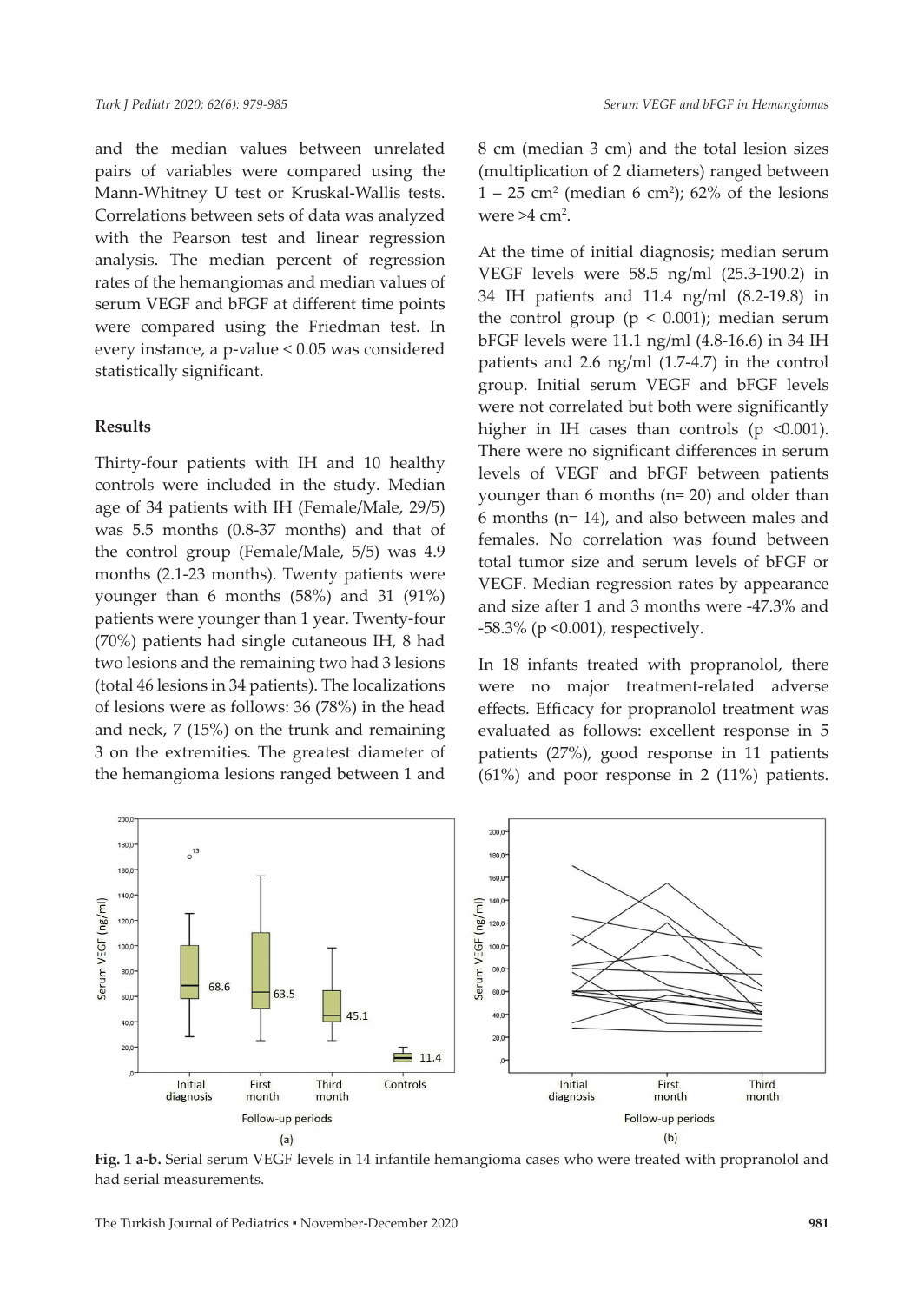and the median values between unrelated pairs of variables were compared using the Mann-Whitney U test or Kruskal-Wallis tests. Correlations between sets of data was analyzed with the Pearson test and linear regression analysis. The median percent of regression rates of the hemangiomas and median values of serum VEGF and bFGF at different time points were compared using the Friedman test. In every instance, a p-value < 0.05 was considered statistically significant.

#### **Results**

Thirty-four patients with IH and 10 healthy controls were included in the study. Median age of 34 patients with IH (Female/Male, 29/5) was 5.5 months (0.8-37 months) and that of the control group (Female/Male, 5/5) was 4.9 months (2.1-23 months). Twenty patients were younger than 6 months (58%) and 31 (91%) patients were younger than 1 year. Twenty-four (70%) patients had single cutaneous IH, 8 had two lesions and the remaining two had 3 lesions (total 46 lesions in 34 patients). The localizations of lesions were as follows: 36 (78%) in the head and neck, 7 (15%) on the trunk and remaining 3 on the extremities. The greatest diameter of the hemangioma lesions ranged between 1 and

8 cm (median 3 cm) and the total lesion sizes (multiplication of 2 diameters) ranged between  $1 - 25$  cm<sup>2</sup> (median 6 cm<sup>2</sup>); 62% of the lesions were  $>4$  cm<sup>2</sup>.

At the time of initial diagnosis; median serum VEGF levels were 58.5 ng/ml (25.3-190.2) in 34 IH patients and 11.4 ng/ml (8.2-19.8) in the control group ( $p < 0.001$ ); median serum bFGF levels were 11.1 ng/ml (4.8-16.6) in 34 IH patients and 2.6 ng/ml (1.7-4.7) in the control group. Initial serum VEGF and bFGF levels were not correlated but both were significantly higher in IH cases than controls ( $p \le 0.001$ ). There were no significant differences in serum levels of VEGF and bFGF between patients younger than 6 months (n= 20) and older than 6 months (n= 14), and also between males and females. No correlation was found between total tumor size and serum levels of bFGF or VEGF. Median regression rates by appearance and size after 1 and 3 months were -47.3% and -58.3% (p <0.001), respectively.

In 18 infants treated with propranolol, there were no major treatment-related adverse effects. Efficacy for propranolol treatment was evaluated as follows: excellent response in 5 patients (27%), good response in 11 patients (61%) and poor response in 2 (11%) patients.



**Fig. 1 a-b.** Serial serum VEGF levels in 14 infantile hemangioma cases who were treated with propranolol and had serial measurements.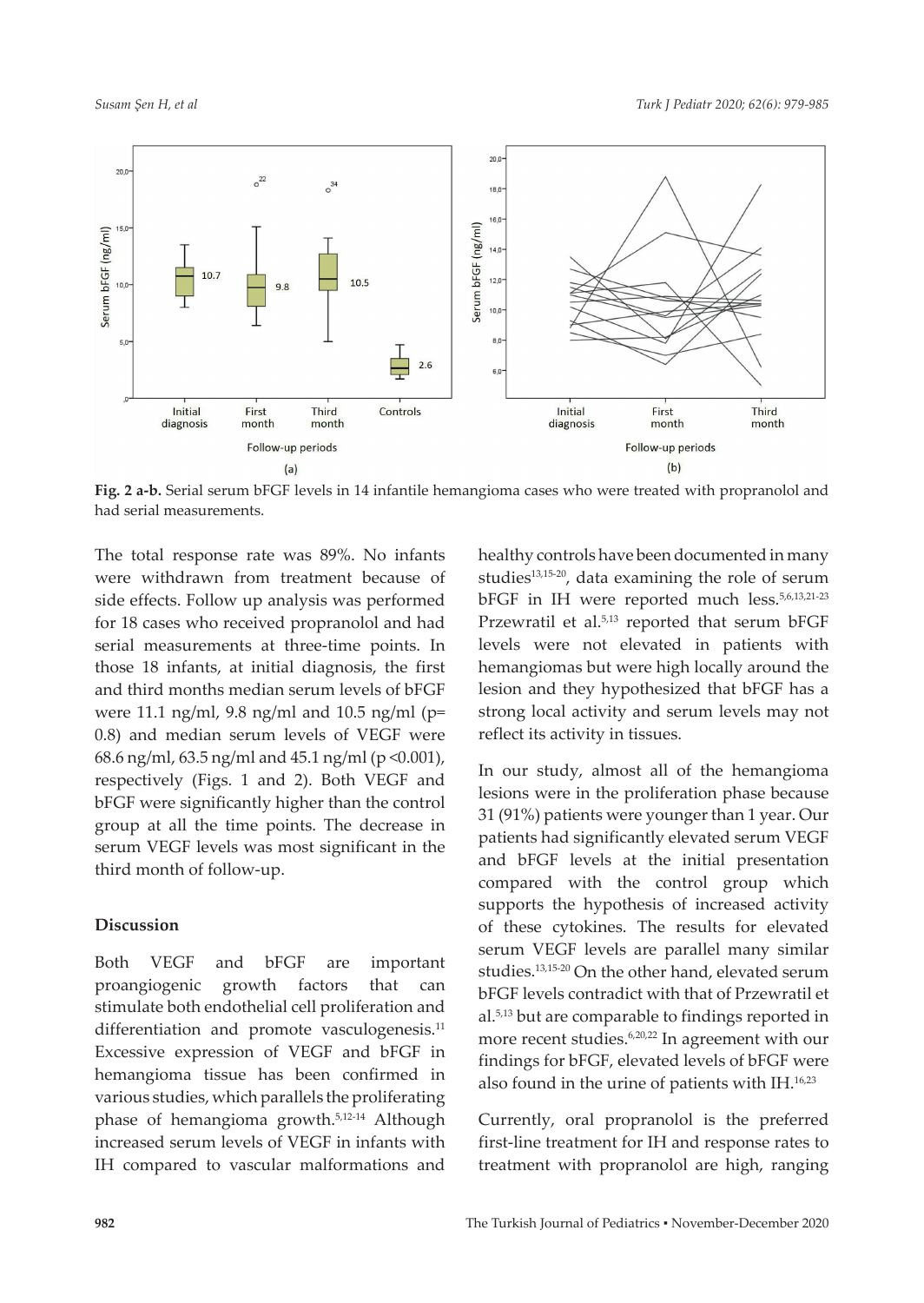

**Fig. 2 a-b.** Serial serum bFGF levels in 14 infantile hemangioma cases who were treated with propranolol and had serial measurements.

The total response rate was 89%. No infants were withdrawn from treatment because of side effects. Follow up analysis was performed for 18 cases who received propranolol and had serial measurements at three-time points. In those 18 infants, at initial diagnosis, the first and third months median serum levels of bFGF were 11.1 ng/ml, 9.8 ng/ml and 10.5 ng/ml (p= 0.8) and median serum levels of VEGF were 68.6 ng/ml, 63.5 ng/ml and 45.1 ng/ml (p <0.001), respectively (Figs. 1 and 2). Both VEGF and bFGF were significantly higher than the control group at all the time points. The decrease in serum VEGF levels was most significant in the third month of follow-up.

#### **Discussion**

Both VEGF and bFGF are important proangiogenic growth factors that can stimulate both endothelial cell proliferation and differentiation and promote vasculogenesis.<sup>11</sup> Excessive expression of VEGF and bFGF in hemangioma tissue has been confirmed in various studies, which parallels the proliferating phase of hemangioma growth.5,12-14 Although increased serum levels of VEGF in infants with IH compared to vascular malformations and

healthy controls have been documented in many studies<sup>13,15-20</sup>, data examining the role of serum bFGF in IH were reported much less.5,6,13,21-23 Przewratil et al.<sup>5,13</sup> reported that serum bFGF levels were not elevated in patients with hemangiomas but were high locally around the lesion and they hypothesized that bFGF has a strong local activity and serum levels may not reflect its activity in tissues.

In our study, almost all of the hemangioma lesions were in the proliferation phase because 31 (91%) patients were younger than 1 year. Our patients had significantly elevated serum VEGF and bFGF levels at the initial presentation compared with the control group which supports the hypothesis of increased activity of these cytokines. The results for elevated serum VEGF levels are parallel many similar studies.13,15-20 On the other hand, elevated serum bFGF levels contradict with that of Przewratil et al.5,13 but are comparable to findings reported in more recent studies.<sup>6,20,22</sup> In agreement with our findings for bFGF, elevated levels of bFGF were also found in the urine of patients with IH.<sup>16,23</sup>

Currently, oral propranolol is the preferred first-line treatment for IH and response rates to treatment with propranolol are high, ranging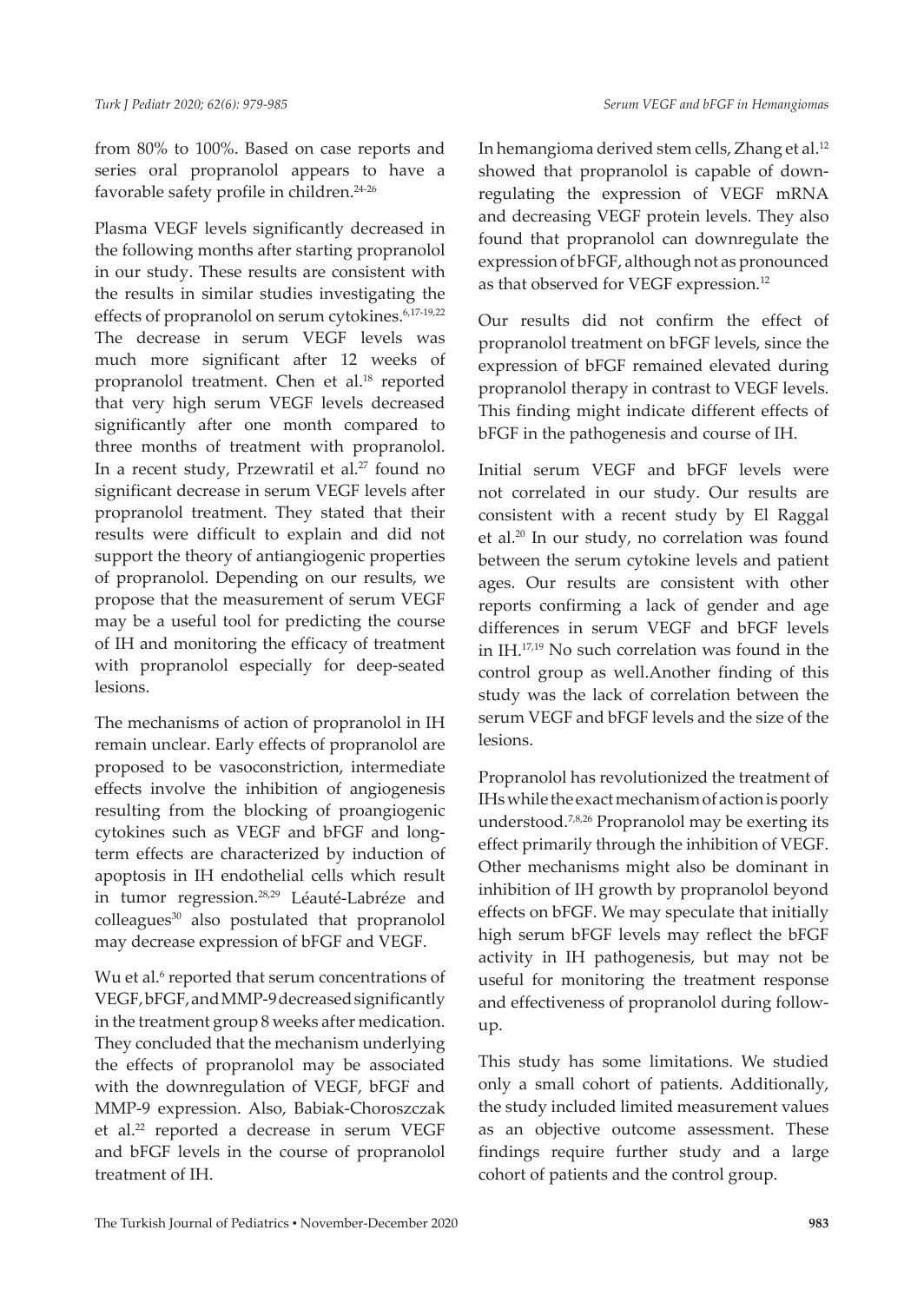from 80% to 100%. Based on case reports and series oral propranolol appears to have a favorable safety profile in children.24-26

Plasma VEGF levels significantly decreased in the following months after starting propranolol in our study. These results are consistent with the results in similar studies investigating the effects of propranolol on serum cytokines.<sup>6,17-19,22</sup> The decrease in serum VEGF levels was much more significant after 12 weeks of propranolol treatment. Chen et al.<sup>18</sup> reported that very high serum VEGF levels decreased significantly after one month compared to three months of treatment with propranolol. In a recent study, Przewratil et al.<sup>27</sup> found no significant decrease in serum VEGF levels after propranolol treatment. They stated that their results were difficult to explain and did not support the theory of antiangiogenic properties of propranolol. Depending on our results, we propose that the measurement of serum VEGF may be a useful tool for predicting the course of IH and monitoring the efficacy of treatment with propranolol especially for deep-seated lesions.

The mechanisms of action of propranolol in IH remain unclear. Early effects of propranolol are proposed to be vasoconstriction, intermediate effects involve the inhibition of angiogenesis resulting from the blocking of proangiogenic cytokines such as VEGF and bFGF and longterm effects are characterized by induction of apoptosis in IH endothelial cells which result in tumor regression.<sup>28,29</sup> Léauté-Labréze and colleagues<sup>30</sup> also postulated that propranolol may decrease expression of bFGF and VEGF.

Wu et al.<sup>6</sup> reported that serum concentrations of VEGF, bFGF, and MMP-9 decreased significantly in the treatment group 8 weeks after medication. They concluded that the mechanism underlying the effects of propranolol may be associated with the downregulation of VEGF, bFGF and MMP-9 expression. Also, Babiak-Choroszczak et al.<sup>22</sup> reported a decrease in serum VEGF and bFGF levels in the course of propranolol treatment of IH.

In hemangioma derived stem cells, Zhang et al.12 showed that propranolol is capable of downregulating the expression of VEGF mRNA and decreasing VEGF protein levels. They also found that propranolol can downregulate the expression of bFGF, although not as pronounced as that observed for VEGF expression.12

Our results did not confirm the effect of propranolol treatment on bFGF levels, since the expression of bFGF remained elevated during propranolol therapy in contrast to VEGF levels. This finding might indicate different effects of bFGF in the pathogenesis and course of IH.

Initial serum VEGF and bFGF levels were not correlated in our study. Our results are consistent with a recent study by El Raggal et al.20 In our study, no correlation was found between the serum cytokine levels and patient ages. Our results are consistent with other reports confirming a lack of gender and age differences in serum VEGF and bFGF levels in IH.17,19 No such correlation was found in the control group as well.Another finding of this study was the lack of correlation between the serum VEGF and bFGF levels and the size of the lesions.

Propranolol has revolutionized the treatment of IHs while the exact mechanism of action is poorly understood.7,8,26 Propranolol may be exerting its effect primarily through the inhibition of VEGF. Other mechanisms might also be dominant in inhibition of IH growth by propranolol beyond effects on bFGF. We may speculate that initially high serum bFGF levels may reflect the bFGF activity in IH pathogenesis, but may not be useful for monitoring the treatment response and effectiveness of propranolol during followup.

This study has some limitations. We studied only a small cohort of patients. Additionally, the study included limited measurement values as an objective outcome assessment. These findings require further study and a large cohort of patients and the control group.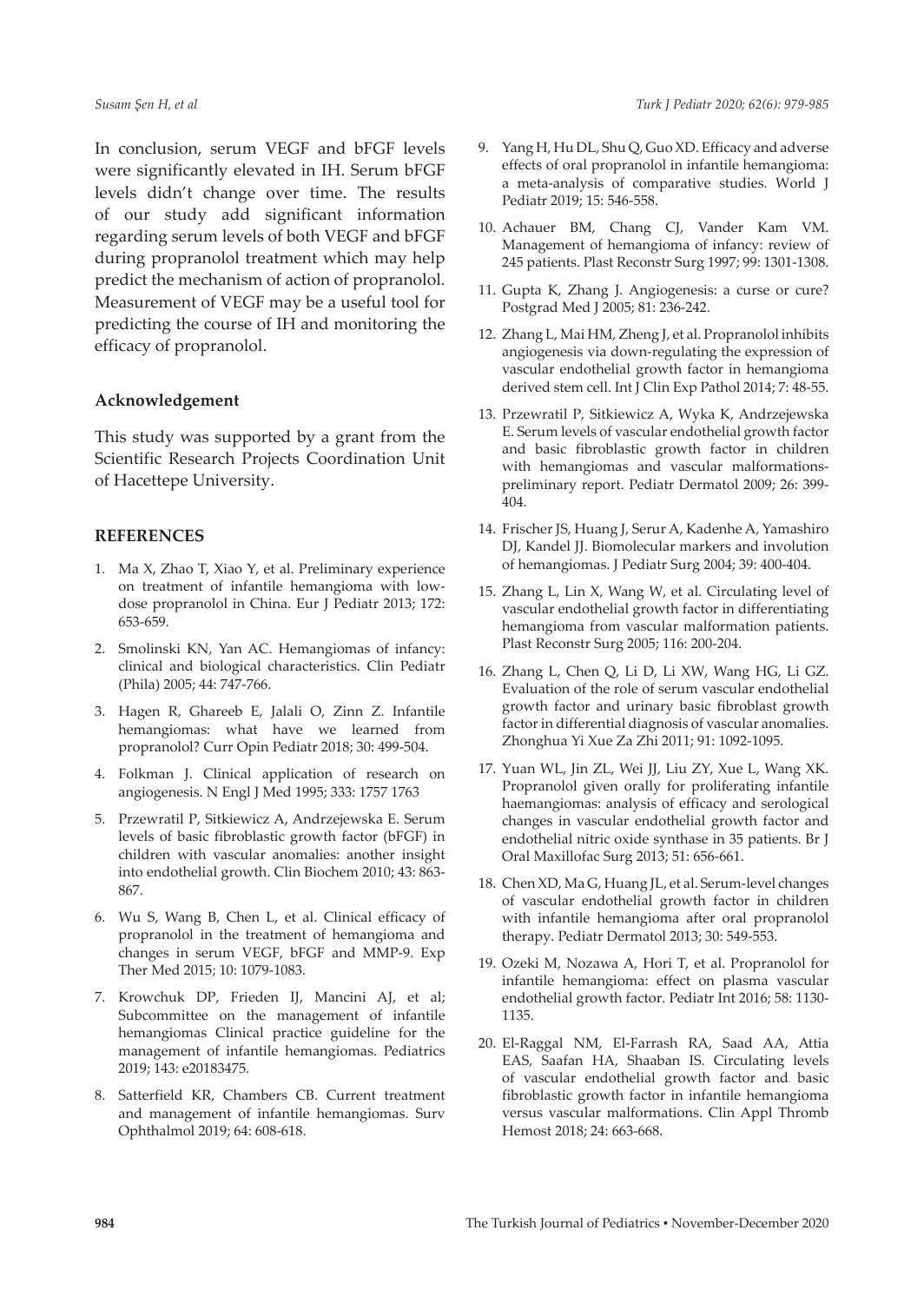In conclusion, serum VEGF and bFGF levels were significantly elevated in IH. Serum bFGF levels didn't change over time. The results of our study add significant information regarding serum levels of both VEGF and bFGF during propranolol treatment which may help predict the mechanism of action of propranolol. Measurement of VEGF may be a useful tool for predicting the course of IH and monitoring the efficacy of propranolol.

### **Acknowledgement**

This study was supported by a grant from the Scientific Research Projects Coordination Unit of Hacettepe University.

## **REFERENCES**

- 1. Ma X, Zhao T, Xiao Y, et al. Preliminary experience on treatment of infantile hemangioma with lowdose propranolol in China. Eur J Pediatr 2013; 172: 653-659.
- 2. Smolinski KN, Yan AC. Hemangiomas of infancy: clinical and biological characteristics. Clin Pediatr (Phila) 2005; 44: 747-766.
- 3. Hagen R, Ghareeb E, Jalali O, Zinn Z. Infantile hemangiomas: what have we learned from propranolol? Curr Opin Pediatr 2018; 30: 499-504.
- 4. Folkman J. Clinical application of research on angiogenesis. N Engl J Med 1995; 333: 1757 1763
- 5. Przewratil P, Sitkiewicz A, Andrzejewska E. Serum levels of basic fibroblastic growth factor (bFGF) in children with vascular anomalies: another insight into endothelial growth. Clin Biochem 2010; 43: 863- 867.
- 6. Wu S, Wang B, Chen L, et al. Clinical efficacy of propranolol in the treatment of hemangioma and changes in serum VEGF, bFGF and MMP-9. Exp Ther Med 2015; 10: 1079-1083.
- 7. Krowchuk DP, Frieden IJ, Mancini AJ, et al; Subcommittee on the management of infantile hemangiomas Clinical practice guideline for the management of infantile hemangiomas. Pediatrics 2019; 143: e20183475.
- 8. Satterfield KR, Chambers CB. Current treatment and management of infantile hemangiomas. Surv Ophthalmol 2019; 64: 608-618.
- 9. Yang H, Hu DL, Shu Q, Guo XD. Efficacy and adverse effects of oral propranolol in infantile hemangioma: a meta-analysis of comparative studies. World J Pediatr 2019; 15: 546-558.
- 10. Achauer BM, Chang CJ, Vander Kam VM. Management of hemangioma of infancy: review of 245 patients. Plast Reconstr Surg 1997; 99: 1301-1308.
- 11. Gupta K, Zhang J. Angiogenesis: a curse or cure? Postgrad Med J 2005; 81: 236-242.
- 12. Zhang L, Mai HM, Zheng J, et al. Propranolol inhibits angiogenesis via down-regulating the expression of vascular endothelial growth factor in hemangioma derived stem cell. Int J Clin Exp Pathol 2014; 7: 48-55.
- 13. Przewratil P, Sitkiewicz A, Wyka K, Andrzejewska E. Serum levels of vascular endothelial growth factor and basic fibroblastic growth factor in children with hemangiomas and vascular malformationspreliminary report. Pediatr Dermatol 2009; 26: 399- 404.
- 14. Frischer JS, Huang J, Serur A, Kadenhe A, Yamashiro DJ, Kandel JJ. Biomolecular markers and involution of hemangiomas. J Pediatr Surg 2004; 39: 400-404.
- 15. Zhang L, Lin X, Wang W, et al. Circulating level of vascular endothelial growth factor in differentiating hemangioma from vascular malformation patients. Plast Reconstr Surg 2005; 116: 200-204.
- 16. Zhang L, Chen Q, Li D, Li XW, Wang HG, Li GZ. Evaluation of the role of serum vascular endothelial growth factor and urinary basic fibroblast growth factor in differential diagnosis of vascular anomalies. Zhonghua Yi Xue Za Zhi 2011; 91: 1092-1095.
- 17. Yuan WL, Jin ZL, Wei JJ, Liu ZY, Xue L, Wang XK. Propranolol given orally for proliferating infantile haemangiomas: analysis of efficacy and serological changes in vascular endothelial growth factor and endothelial nitric oxide synthase in 35 patients. Br J Oral Maxillofac Surg 2013; 51: 656-661.
- 18. Chen XD, Ma G, Huang JL, et al. Serum-level changes of vascular endothelial growth factor in children with infantile hemangioma after oral propranolol therapy. Pediatr Dermatol 2013; 30: 549-553.
- 19. Ozeki M, Nozawa A, Hori T, et al. Propranolol for infantile hemangioma: effect on plasma vascular endothelial growth factor. Pediatr Int 2016; 58: 1130- 1135.
- 20. El-Raggal NM, El-Farrash RA, Saad AA, Attia EAS, Saafan HA, Shaaban IS. Circulating levels of vascular endothelial growth factor and basic fibroblastic growth factor in infantile hemangioma versus vascular malformations. Clin Appl Thromb Hemost 2018; 24: 663-668.